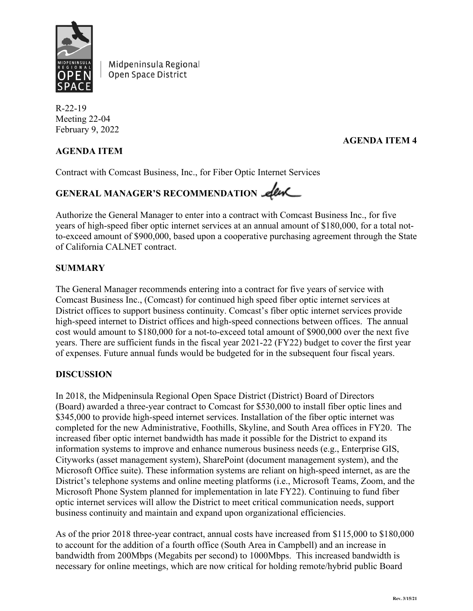

Midpeninsula Regional Open Space District

R-22-19 Meeting 22-04 February 9, 2022

# **AGENDA ITEM**

### **AGENDA ITEM 4**

Contract with Comcast Business, Inc., for Fiber Optic Internet Services

# GENERAL MANAGER'S RECOMMENDATION **eleve**

Authorize the General Manager to enter into a contract with Comcast Business Inc., for five years of high-speed fiber optic internet services at an annual amount of \$180,000, for a total notto-exceed amount of \$900,000, based upon a cooperative purchasing agreement through the State of California CALNET contract.

### **SUMMARY**

The General Manager recommends entering into a contract for five years of service with Comcast Business Inc., (Comcast) for continued high speed fiber optic internet services at District offices to support business continuity. Comcast's fiber optic internet services provide high-speed internet to District offices and high-speed connections between offices. The annual cost would amount to \$180,000 for a not-to-exceed total amount of \$900,000 over the next five years. There are sufficient funds in the fiscal year 2021-22 (FY22) budget to cover the first year of expenses. Future annual funds would be budgeted for in the subsequent four fiscal years.

#### **DISCUSSION**

In 2018, the Midpeninsula Regional Open Space District (District) Board of Directors (Board) awarded a three-year contract to Comcast for \$530,000 to install fiber optic lines and \$345,000 to provide high-speed internet services. Installation of the fiber optic internet was completed for the new Administrative, Foothills, Skyline, and South Area offices in FY20. The increased fiber optic internet bandwidth has made it possible for the District to expand its information systems to improve and enhance numerous business needs (e.g., Enterprise GIS, Cityworks (asset management system), SharePoint (document management system), and the Microsoft Office suite). These information systems are reliant on high-speed internet, as are the District's telephone systems and online meeting platforms (i.e., Microsoft Teams, Zoom, and the Microsoft Phone System planned for implementation in late FY22). Continuing to fund fiber optic internet services will allow the District to meet critical communication needs, support business continuity and maintain and expand upon organizational efficiencies.

As of the prior 2018 three-year contract, annual costs have increased from \$115,000 to \$180,000 to account for the addition of a fourth office (South Area in Campbell) and an increase in bandwidth from 200Mbps (Megabits per second) to 1000Mbps. This increased bandwidth is necessary for online meetings, which are now critical for holding remote/hybrid public Board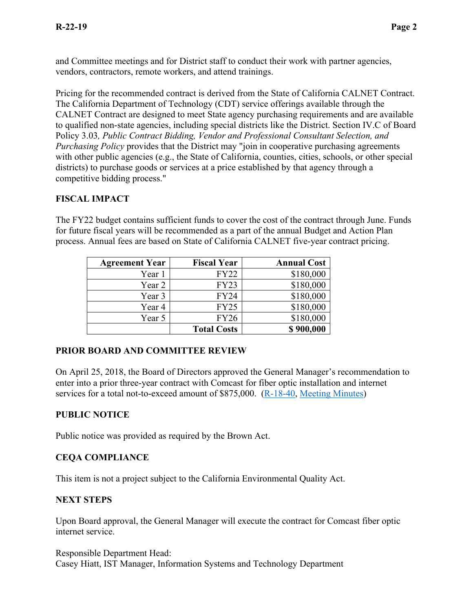and Committee meetings and for District staff to conduct their work with partner agencies, vendors, contractors, remote workers, and attend trainings.

Pricing for the recommended contract is derived from the State of California CALNET Contract. The California Department of Technology (CDT) service offerings available through the CALNET Contract are designed to meet State agency purchasing requirements and are available to qualified non-state agencies, including special districts like the District. Section IV.C of Board Policy 3.03*, Public Contract Bidding, Vendor and Professional Consultant Selection, and Purchasing Policy* provides that the District may "join in cooperative purchasing agreements with other public agencies (e.g., the State of California, counties, cities, schools, or other special districts) to purchase goods or services at a price established by that agency through a competitive bidding process."

# **FISCAL IMPACT**

The FY22 budget contains sufficient funds to cover the cost of the contract through June. Funds for future fiscal years will be recommended as a part of the annual Budget and Action Plan process. Annual fees are based on State of California CALNET five-year contract pricing.

| <b>Agreement Year</b> | <b>Fiscal Year</b> | <b>Annual Cost</b> |
|-----------------------|--------------------|--------------------|
| Year 1                | <b>FY22</b>        | \$180,000          |
| Year 2                | <b>FY23</b>        | \$180,000          |
| Year 3                | <b>FY24</b>        | \$180,000          |
| Year 4                | <b>FY25</b>        | \$180,000          |
| Year 5                | <b>FY26</b>        | \$180,000          |
|                       | <b>Total Costs</b> | \$900,000          |

# **PRIOR BOARD AND COMMITTEE REVIEW**

On April 25, 2018, the Board of Directors approved the General Manager's recommendation to enter into a prior three-year contract with Comcast for fiber optic installation and internet services for a total not-to-exceed amount of \$875,000. [\(R-18-40,](https://www.openspace.org/sites/default/files/20180425_ComcastFiberLineConstruction_R-18-40.pdf) [Meeting Minutes\)](https://www.openspace.org/sites/default/files/20180425_BOD_Minutes_APPROVED.pdf)

## **PUBLIC NOTICE**

Public notice was provided as required by the Brown Act.

## **CEQA COMPLIANCE**

This item is not a project subject to the California Environmental Quality Act.

## **NEXT STEPS**

Upon Board approval, the General Manager will execute the contract for Comcast fiber optic internet service.

Responsible Department Head: Casey Hiatt, IST Manager, Information Systems and Technology Department